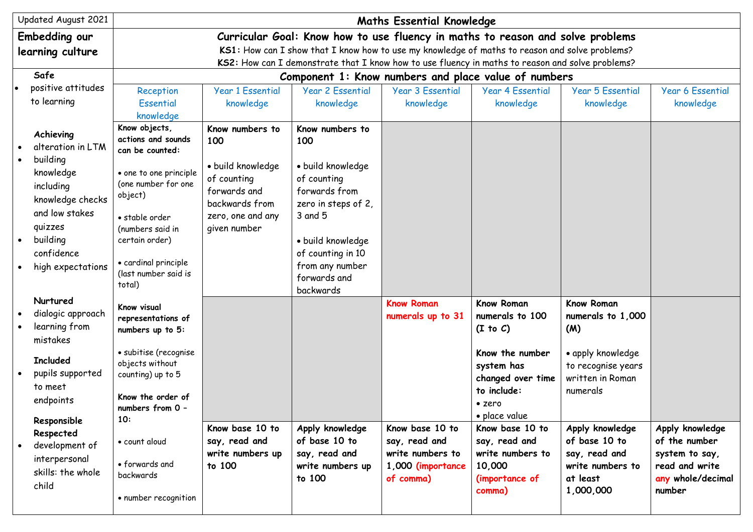| Updated August 2021                                                                   | <b>Maths Essential Knowledge</b>                                                                     |                                                                                                |                                                                                      |                                                                                                  |                                                                                |                                                                         |                                                    |  |  |
|---------------------------------------------------------------------------------------|------------------------------------------------------------------------------------------------------|------------------------------------------------------------------------------------------------|--------------------------------------------------------------------------------------|--------------------------------------------------------------------------------------------------|--------------------------------------------------------------------------------|-------------------------------------------------------------------------|----------------------------------------------------|--|--|
| <b>Embedding our</b>                                                                  |                                                                                                      |                                                                                                |                                                                                      |                                                                                                  | Curricular Goal: Know how to use fluency in maths to reason and solve problems |                                                                         |                                                    |  |  |
| learning culture                                                                      |                                                                                                      | KS1: How can I show that I know how to use my knowledge of maths to reason and solve problems? |                                                                                      |                                                                                                  |                                                                                |                                                                         |                                                    |  |  |
|                                                                                       |                                                                                                      |                                                                                                |                                                                                      | KS2: How can I demonstrate that I know how to use fluency in maths to reason and solve problems? |                                                                                |                                                                         |                                                    |  |  |
| Safe                                                                                  |                                                                                                      | Component 1: Know numbers and place value of numbers                                           |                                                                                      |                                                                                                  |                                                                                |                                                                         |                                                    |  |  |
| positive attitudes                                                                    | Reception                                                                                            | <b>Year 1 Essential</b>                                                                        | <b>Year 2 Essential</b>                                                              | <b>Year 3 Essential</b>                                                                          | <b>Year 4 Essential</b>                                                        | <b>Year 5 Essential</b>                                                 | <b>Year 6 Essential</b>                            |  |  |
| to learning                                                                           | Essential<br>knowledge                                                                               | knowledge                                                                                      | knowledge                                                                            | knowledge                                                                                        | knowledge                                                                      | knowledge                                                               | knowledge                                          |  |  |
| Achieving<br>alteration in LTM                                                        | Know objects,<br>actions and sounds<br>can be counted:                                               | Know numbers to<br>100                                                                         | Know numbers to<br>100                                                               |                                                                                                  |                                                                                |                                                                         |                                                    |  |  |
| building<br>knowledge<br>including<br>knowledge checks                                | • one to one principle<br>(one number for one<br>object)                                             | · build knowledge<br>of counting<br>forwards and<br>backwards from                             | · build knowledge<br>of counting<br>forwards from<br>zero in steps of 2,             |                                                                                                  |                                                                                |                                                                         |                                                    |  |  |
| and low stakes<br>quizzes<br>building<br>$\bullet$<br>confidence<br>high expectations | • stable order<br>(numbers said in<br>certain order)<br>• cardinal principle<br>(last number said is | zero, one and any<br>given number                                                              | 3 and 5<br>· build knowledge<br>of counting in 10<br>from any number<br>forwards and |                                                                                                  |                                                                                |                                                                         |                                                    |  |  |
| Nurtured                                                                              | total)                                                                                               |                                                                                                | backwards                                                                            |                                                                                                  |                                                                                |                                                                         |                                                    |  |  |
| dialogic approach<br>learning from<br>mistakes                                        | Know visual<br>representations of<br>numbers up to 5:                                                |                                                                                                |                                                                                      | <b>Know Roman</b><br>numerals up to 31                                                           | <b>Know Roman</b><br>numerals to 100<br>(I to C)                               | Know Roman<br>numerals to 1,000<br>(M)                                  |                                                    |  |  |
| <b>Included</b><br>pupils supported<br>to meet                                        | · subitise (recognise<br>objects without<br>counting) up to 5                                        |                                                                                                |                                                                                      |                                                                                                  | Know the number<br>system has<br>changed over time<br>to include:              | • apply knowledge<br>to recognise years<br>written in Roman<br>numerals |                                                    |  |  |
| endpoints<br>Responsible                                                              | Know the order of<br>numbers from 0 -<br>10:                                                         |                                                                                                |                                                                                      |                                                                                                  | • zero<br>· place value                                                        |                                                                         |                                                    |  |  |
| Respected<br>development of                                                           | · count aloud                                                                                        | Know base 10 to<br>say, read and<br>write numbers up                                           | Apply knowledge<br>of base 10 to<br>say, read and                                    | Know base 10 to<br>say, read and<br>write numbers to                                             | Know base 10 to<br>say, read and<br>write numbers to                           | Apply knowledge<br>of base 10 to<br>say, read and                       | Apply knowledge<br>of the number<br>system to say, |  |  |
| interpersonal<br>skills: the whole<br>child                                           | • forwards and<br>backwards                                                                          | to 100                                                                                         | write numbers up<br>to 100                                                           | 1,000 (importance<br>of comma)                                                                   | 10,000<br>(importance of<br>comma)                                             | write numbers to<br>at least<br>1,000,000                               | read and write<br>any whole/decimal<br>number      |  |  |
|                                                                                       | • number recognition                                                                                 |                                                                                                |                                                                                      |                                                                                                  |                                                                                |                                                                         |                                                    |  |  |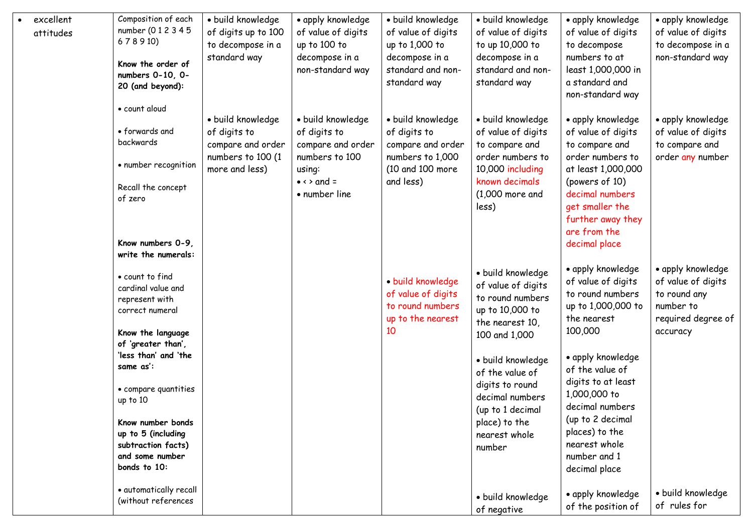|  | excellent | Composition of each                                       | · build knowledge                                      | • apply knowledge                                      | · build knowledge                                      | · build knowledge                                         | • apply knowledge                                                         | • apply knowledge                                         |
|--|-----------|-----------------------------------------------------------|--------------------------------------------------------|--------------------------------------------------------|--------------------------------------------------------|-----------------------------------------------------------|---------------------------------------------------------------------------|-----------------------------------------------------------|
|  | attitudes | number (012345                                            | of digits up to 100                                    | of value of digits                                     | of value of digits                                     | of value of digits                                        | of value of digits                                                        | of value of digits                                        |
|  |           | 678910)                                                   | to decompose in a                                      | up to 100 to                                           | up to 1,000 to                                         | to up 10,000 to                                           | to decompose                                                              | to decompose in a                                         |
|  |           | Know the order of<br>numbers 0-10, 0-<br>20 (and beyond): | standard way                                           | decompose in a<br>non-standard way                     | decompose in a<br>standard and non-<br>standard way    | decompose in a<br>standard and non-<br>standard way       | numbers to at<br>least 1,000,000 in<br>a standard and<br>non-standard way | non-standard way                                          |
|  |           | · count aloud                                             |                                                        |                                                        |                                                        |                                                           |                                                                           |                                                           |
|  |           | • forwards and<br>backwards                               | · build knowledge<br>of digits to<br>compare and order | · build knowledge<br>of digits to<br>compare and order | · build knowledge<br>of digits to<br>compare and order | · build knowledge<br>of value of digits<br>to compare and | • apply knowledge<br>of value of digits<br>to compare and                 | • apply knowledge<br>of value of digits<br>to compare and |
|  |           | • number recognition                                      | numbers to 100 (1<br>more and less)                    | numbers to 100<br>using:                               | numbers to 1,000<br>(10 and 100 more                   | order numbers to<br>10,000 including                      | order numbers to<br>at least 1,000,000                                    | order any number                                          |
|  |           | Recall the concept<br>of zero                             |                                                        | $\bullet \leftrightarrow$ and =<br>• number line       | and less)                                              | known decimals<br>$(1,000$ more and<br>less)              | (powers of 10)<br>decimal numbers<br>get smaller the<br>further away they |                                                           |
|  |           | Know numbers 0-9,<br>write the numerals:                  |                                                        |                                                        |                                                        |                                                           | are from the<br>decimal place                                             |                                                           |
|  |           | · count to find                                           |                                                        |                                                        |                                                        | · build knowledge                                         | • apply knowledge                                                         | • apply knowledge                                         |
|  |           | cardinal value and                                        |                                                        |                                                        | · build knowledge                                      | of value of digits                                        | of value of digits                                                        | of value of digits                                        |
|  |           | represent with                                            |                                                        |                                                        | of value of digits                                     | to round numbers                                          | to round numbers                                                          | to round any                                              |
|  |           | correct numeral                                           |                                                        |                                                        | to round numbers<br>up to the nearest                  | up to 10,000 to<br>the nearest 10,                        | up to 1,000,000 to<br>the nearest                                         | number to<br>required degree of                           |
|  |           | Know the language                                         |                                                        |                                                        | 10                                                     | 100 and 1,000                                             | 100,000                                                                   | accuracy                                                  |
|  |           | of 'greater than',                                        |                                                        |                                                        |                                                        |                                                           |                                                                           |                                                           |
|  |           | 'less than' and 'the                                      |                                                        |                                                        |                                                        | · build knowledge                                         | • apply knowledge                                                         |                                                           |
|  |           | same as':                                                 |                                                        |                                                        |                                                        | of the value of                                           | of the value of                                                           |                                                           |
|  |           | • compare quantities<br>up to 10                          |                                                        |                                                        |                                                        | digits to round<br>decimal numbers<br>(up to 1 decimal    | digits to at least<br>1,000,000 to<br>decimal numbers                     |                                                           |
|  |           | Know number bonds                                         |                                                        |                                                        |                                                        | place) to the                                             | (up to 2 decimal                                                          |                                                           |
|  |           | up to 5 (including                                        |                                                        |                                                        |                                                        | nearest whole                                             | places) to the<br>nearest whole                                           |                                                           |
|  |           | subtraction facts)<br>and some number                     |                                                        |                                                        |                                                        | number                                                    | number and 1                                                              |                                                           |
|  |           | bonds to 10:                                              |                                                        |                                                        |                                                        |                                                           | decimal place                                                             |                                                           |
|  |           | • automatically recall<br>(without references             |                                                        |                                                        |                                                        | · build knowledge                                         | • apply knowledge                                                         | · build knowledge                                         |
|  |           |                                                           |                                                        |                                                        |                                                        | of negative                                               | of the position of                                                        | of rules for                                              |